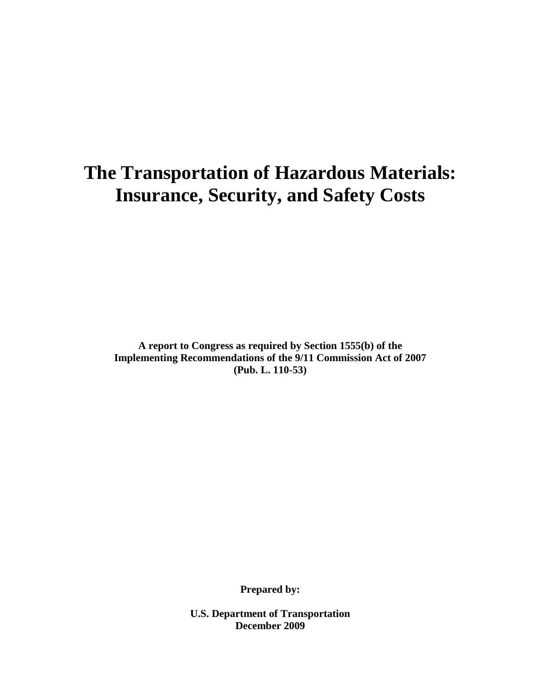# **The Transportation of Hazardous Materials: Insurance, Security, and Safety Costs**

**A report to Congress as required by Section 1555(b) of the Implementing Recommendations of the 9/11 Commission Act of 2007 (Pub. L. 110-53)**

**Prepared by:**

**U.S. Department of Transportation December 2009**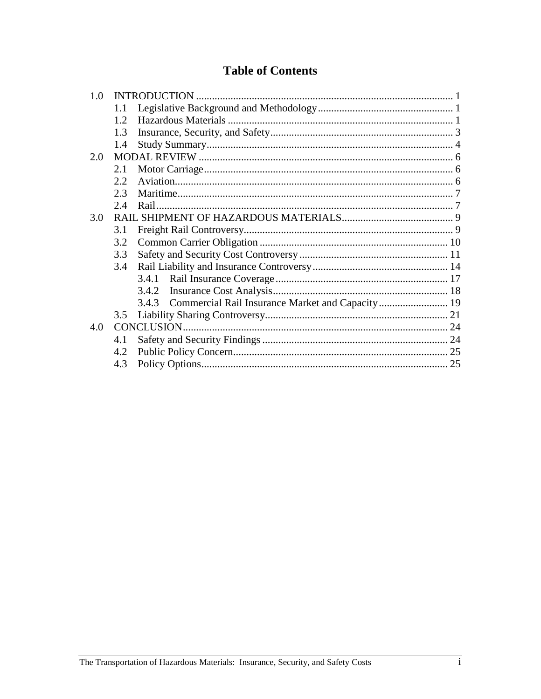# **Table of Contents**

| 1.0 |      |                                                        |  |
|-----|------|--------------------------------------------------------|--|
|     | 1.1  |                                                        |  |
|     | 12   |                                                        |  |
|     | 1.3  |                                                        |  |
|     | 1.4  |                                                        |  |
| 2.0 |      |                                                        |  |
|     | 2.1  |                                                        |  |
|     | 2.2. |                                                        |  |
|     | 2.3  |                                                        |  |
|     | 2.4  |                                                        |  |
| 3.0 |      |                                                        |  |
|     | 3.1  |                                                        |  |
|     | 3.2  |                                                        |  |
|     | 3.3  |                                                        |  |
|     | 3.4  |                                                        |  |
|     |      | 3.4.1                                                  |  |
|     |      | 3.4.2                                                  |  |
|     |      | 3.4.3 Commercial Rail Insurance Market and Capacity 19 |  |
|     | 3.5  |                                                        |  |
| 4.0 |      |                                                        |  |
|     | 4.1  |                                                        |  |
|     | 4.2  |                                                        |  |
|     | 4.3  |                                                        |  |
|     |      |                                                        |  |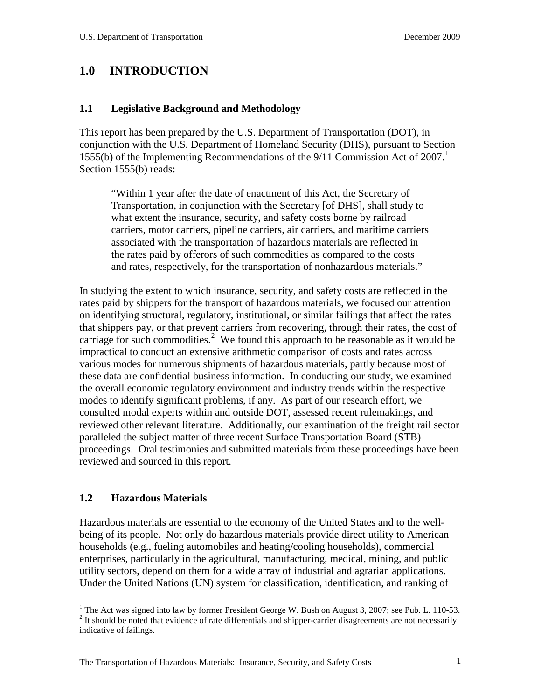## <span id="page-2-0"></span>**1.0 INTRODUCTION**

#### <span id="page-2-1"></span>**1.1 Legislative Background and Methodology**

This report has been prepared by the U.S. Department of Transportation (DOT), in conjunction with the U.S. Department of Homeland Security (DHS), pursuant to Section 1555(b) of the Implementing Recommendations of the 9/11 Commission Act of 2007. [1](#page-2-3) Section 1555(b) reads:

"Within 1 year after the date of enactment of this Act, the Secretary of Transportation, in conjunction with the Secretary [of DHS], shall study to what extent the insurance, security, and safety costs borne by railroad carriers, motor carriers, pipeline carriers, air carriers, and maritime carriers associated with the transportation of hazardous materials are reflected in the rates paid by offerors of such commodities as compared to the costs and rates, respectively, for the transportation of nonhazardous materials."

In studying the extent to which insurance, security, and safety costs are reflected in the rates paid by shippers for the transport of hazardous materials, we focused our attention on identifying structural, regulatory, institutional, or similar failings that affect the rates that shippers pay, or that prevent carriers from recovering, through their rates, the cost of carriage for such commodities.<sup>[2](#page-2-4)</sup> We found this approach to be reasonable as it would be impractical to conduct an extensive arithmetic comparison of costs and rates across various modes for numerous shipments of hazardous materials, partly because most of these data are confidential business information. In conducting our study, we examined the overall economic regulatory environment and industry trends within the respective modes to identify significant problems, if any. As part of our research effort, we consulted modal experts within and outside DOT, assessed recent rulemakings, and reviewed other relevant literature. Additionally, our examination of the freight rail sector paralleled the subject matter of three recent Surface Transportation Board (STB) proceedings. Oral testimonies and submitted materials from these proceedings have been reviewed and sourced in this report.

#### <span id="page-2-2"></span>**1.2 Hazardous Materials**

Hazardous materials are essential to the economy of the United States and to the wellbeing of its people. Not only do hazardous materials provide direct utility to American households (e.g., fueling automobiles and heating/cooling households), commercial enterprises, particularly in the agricultural, manufacturing, medical, mining, and public utility sectors, depend on them for a wide array of industrial and agrarian applications. Under the United Nations (UN) system for classification, identification, and ranking of

<span id="page-2-4"></span><span id="page-2-3"></span><sup>&</sup>lt;sup>1</sup> The Act was signed into law by former President George W. Bush on August 3, 2007; see Pub. L. 110-53. <sup>2</sup> It should be noted that evidence of rate differentials and shipper-carrier disagreements are not necessarily indicative of failings.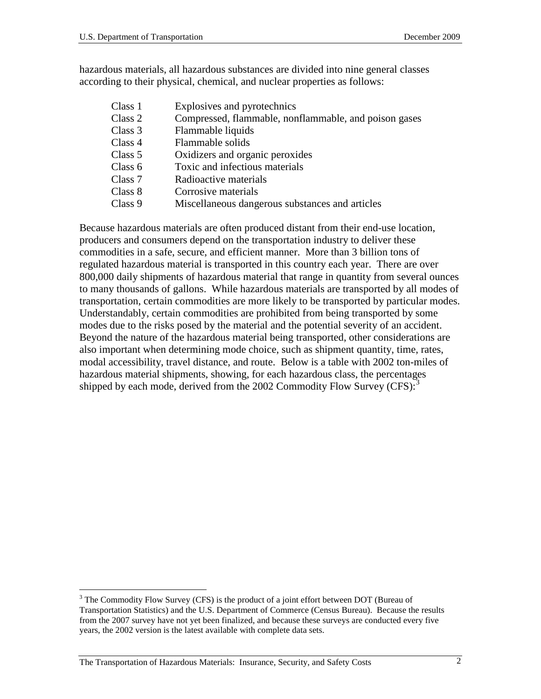hazardous materials, all hazardous substances are divided into nine general classes according to their physical, chemical, and nuclear properties as follows:

Class 1 Explosives and pyrotechnics Class 2 Compressed, flammable, nonflammable, and poison gases Class 3 Flammable liquids Class 4 Flammable solids Class 5 Oxidizers and organic peroxides Class 6 Toxic and infectious materials Class 7 Radioactive materials Class 8 Corrosive materials Class 9 Miscellaneous dangerous substances and articles

Because hazardous materials are often produced distant from their end-use location, producers and consumers depend on the transportation industry to deliver these commodities in a safe, secure, and efficient manner. More than 3 billion tons of regulated hazardous material is transported in this country each year. There are over 800,000 daily shipments of hazardous material that range in quantity from several ounces to many thousands of gallons. While hazardous materials are transported by all modes of transportation, certain commodities are more likely to be transported by particular modes. Understandably, certain commodities are prohibited from being transported by some modes due to the risks posed by the material and the potential severity of an accident. Beyond the nature of the hazardous material being transported, other considerations are also important when determining mode choice, such as shipment quantity, time, rates, modal accessibility, travel distance, and route. Below is a table with 2002 ton-miles of hazardous material shipments, showing, for each hazardous class, the percentages shipped by each mode, derived from the 2002 Commodity Flow Survey  $(CFS)^3$  $(CFS)^3$ 

<span id="page-3-0"></span> $3$  The Commodity Flow Survey (CFS) is the product of a joint effort between DOT (Bureau of Transportation Statistics) and the U.S. Department of Commerce (Census Bureau). Because the results from the 2007 survey have not yet been finalized, and because these surveys are conducted every five years, the 2002 version is the latest available with complete data sets.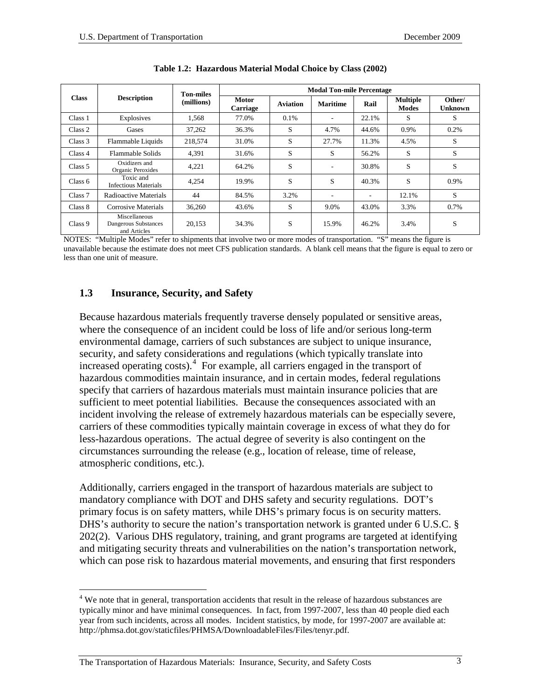|              |                                                       | <b>Ton-miles</b> |                          |                 | <b>Modal Ton-mile Percentage</b> |       |                                 |                   |
|--------------|-------------------------------------------------------|------------------|--------------------------|-----------------|----------------------------------|-------|---------------------------------|-------------------|
| <b>Class</b> | <b>Description</b>                                    | (millions)       | <b>Motor</b><br>Carriage | <b>Aviation</b> | <b>Maritime</b>                  | Rail  | <b>Multiple</b><br><b>Modes</b> | Other/<br>Unknown |
| Class 1      | Explosives                                            | 1.568            | 77.0%                    | 0.1%            | ۰                                | 22.1% | S                               | S                 |
| Class 2      | Gases                                                 | 37,262           | 36.3%                    | S               | 4.7%                             | 44.6% | 0.9%                            | 0.2%              |
| Class 3      | Flammable Liquids                                     | 218,574          | 31.0%                    | S               | 27.7%                            | 11.3% | 4.5%                            | S                 |
| Class 4      | Flammable Solids                                      | 4,391            | 31.6%                    | S               | S                                | 56.2% | S                               | S                 |
| Class 5      | Oxidizers and<br>Organic Peroxides                    | 4,221            | 64.2%                    | S               | ۰                                | 30.8% | S                               | S                 |
| Class 6      | Toxic and<br>Infectious Materials                     | 4,254            | 19.9%                    | S               | S                                | 40.3% | S                               | 0.9%              |
| Class 7      | Radioactive Materials                                 | 44               | 84.5%                    | 3.2%            | ۰                                |       | 12.1%                           | S                 |
| Class 8      | Corrosive Materials                                   | 36,260           | 43.6%                    | S               | 9.0%                             | 43.0% | 3.3%                            | 0.7%              |
| Class 9      | Miscellaneous<br>Dangerous Substances<br>and Articles | 20,153           | 34.3%                    | S               | 15.9%                            | 46.2% | 3.4%                            | S                 |

| Table 1.2: Hazardous Material Modal Choice by Class (2002) |
|------------------------------------------------------------|
|------------------------------------------------------------|

NOTES: "Multiple Modes" refer to shipments that involve two or more modes of transportation. "S" means the figure is unavailable because the estimate does not meet CFS publication standards. A blank cell means that the figure is equal to zero or less than one unit of measure.

#### <span id="page-4-0"></span>**1.3 Insurance, Security, and Safety**

Because hazardous materials frequently traverse densely populated or sensitive areas, where the consequence of an incident could be loss of life and/or serious long-term environmental damage, carriers of such substances are subject to unique insurance, security, and safety considerations and regulations (which typically translate into increased operating costs).[4](#page-4-1) For example, all carriers engaged in the transport of hazardous commodities maintain insurance, and in certain modes, federal regulations specify that carriers of hazardous materials must maintain insurance policies that are sufficient to meet potential liabilities. Because the consequences associated with an incident involving the release of extremely hazardous materials can be especially severe, carriers of these commodities typically maintain coverage in excess of what they do for less-hazardous operations. The actual degree of severity is also contingent on the circumstances surrounding the release (e.g., location of release, time of release, atmospheric conditions, etc.).

Additionally, carriers engaged in the transport of hazardous materials are subject to mandatory compliance with DOT and DHS safety and security regulations. DOT's primary focus is on safety matters, while DHS's primary focus is on security matters. DHS's authority to secure the nation's transportation network is granted under 6 U.S.C. § 202(2). Various DHS regulatory, training, and grant programs are targeted at identifying and mitigating security threats and vulnerabilities on the nation's transportation network, which can pose risk to hazardous material movements, and ensuring that first responders

<span id="page-4-1"></span><sup>&</sup>lt;sup>4</sup> We note that in general, transportation accidents that result in the release of hazardous substances are typically minor and have minimal consequences. In fact, from 1997-2007, less than 40 people died each year from such incidents, across all modes. Incident statistics, by mode, for 1997-2007 are available at: http://phmsa.dot.gov/staticfiles/PHMSA/DownloadableFiles/Files/tenyr.pdf.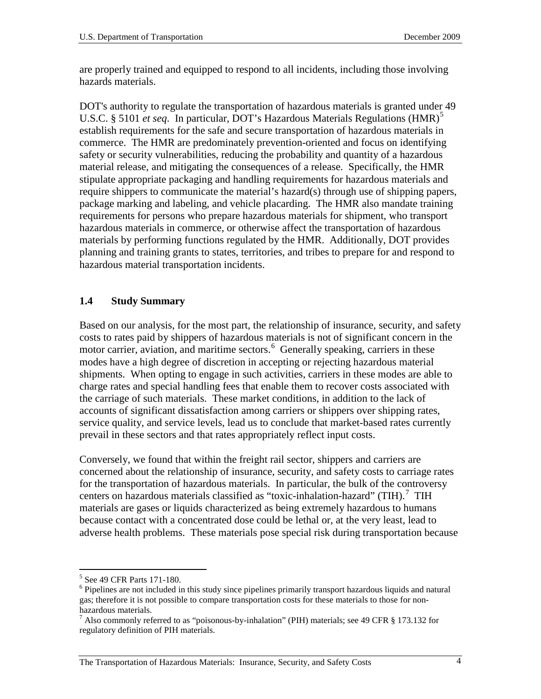are properly trained and equipped to respond to all incidents, including those involving hazards materials.

DOT's authority to regulate the transportation of hazardous materials is granted under 49 U.S.C. § [5](#page-5-1)101 *et seq.* In particular, DOT's Hazardous Materials Regulations (HMR)<sup>5</sup> establish requirements for the safe and secure transportation of hazardous materials in commerce. The HMR are predominately prevention-oriented and focus on identifying safety or security vulnerabilities, reducing the probability and quantity of a hazardous material release, and mitigating the consequences of a release. Specifically, the HMR stipulate appropriate packaging and handling requirements for hazardous materials and require shippers to communicate the material's hazard(s) through use of shipping papers, package marking and labeling, and vehicle placarding. The HMR also mandate training requirements for persons who prepare hazardous materials for shipment, who transport hazardous materials in commerce, or otherwise affect the transportation of hazardous materials by performing functions regulated by the HMR. Additionally, DOT provides planning and training grants to states, territories, and tribes to prepare for and respond to hazardous material transportation incidents.

## <span id="page-5-0"></span>**1.4 Study Summary**

Based on our analysis, for the most part, the relationship of insurance, security, and safety costs to rates paid by shippers of hazardous materials is not of significant concern in the motor carrier, aviation, and maritime sectors.<sup>[6](#page-5-2)</sup> Generally speaking, carriers in these modes have a high degree of discretion in accepting or rejecting hazardous material shipments. When opting to engage in such activities, carriers in these modes are able to charge rates and special handling fees that enable them to recover costs associated with the carriage of such materials. These market conditions, in addition to the lack of accounts of significant dissatisfaction among carriers or shippers over shipping rates, service quality, and service levels, lead us to conclude that market-based rates currently prevail in these sectors and that rates appropriately reflect input costs.

Conversely, we found that within the freight rail sector, shippers and carriers are concerned about the relationship of insurance, security, and safety costs to carriage rates for the transportation of hazardous materials. In particular, the bulk of the controversy centers on hazardous materials classified as "toxic-inhalation-hazard" (TIH).<sup>[7](#page-5-3)</sup> TIH materials are gases or liquids characterized as being extremely hazardous to humans because contact with a concentrated dose could be lethal or, at the very least, lead to adverse health problems. These materials pose special risk during transportation because

<span id="page-5-2"></span><span id="page-5-1"></span> $<sup>5</sup>$  See 49 CFR Parts 171-180.<br><sup>6</sup> Pipelines are not included in this study since pipelines primarily transport hazardous liquids and natural</sup> gas; therefore it is not possible to compare transportation costs for these materials to those for nonhazardous materials.

<span id="page-5-3"></span><sup>7</sup> Also commonly referred to as "poisonous-by-inhalation" (PIH) materials; see 49 CFR § 173.132 for regulatory definition of PIH materials.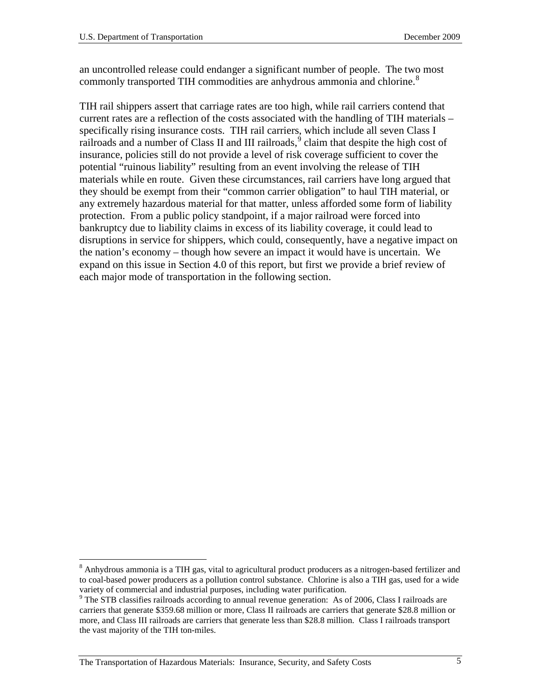an uncontrolled release could endanger a significant number of people. The two most commonly transported TIH commodities are anhydrous ammonia and chlorine.<sup>[8](#page-6-0)</sup>

TIH rail shippers assert that carriage rates are too high, while rail carriers contend that current rates are a reflection of the costs associated with the handling of TIH materials – specifically rising insurance costs. TIH rail carriers, which include all seven Class I railroads and a number of Class II and III railroads,  $\degree$  claim that despite the high cost of insurance, policies still do not provide a level of risk coverage sufficient to cover the potential "ruinous liability" resulting from an event involving the release of TIH materials while en route. Given these circumstances, rail carriers have long argued that they should be exempt from their "common carrier obligation" to haul TIH material, or any extremely hazardous material for that matter, unless afforded some form of liability protection. From a public policy standpoint, if a major railroad were forced into bankruptcy due to liability claims in excess of its liability coverage, it could lead to disruptions in service for shippers, which could, consequently, have a negative impact on the nation's economy – though how severe an impact it would have is uncertain. We expand on this issue in Section 4.0 of this report, but first we provide a brief review of each major mode of transportation in the following section.

<span id="page-6-0"></span><sup>&</sup>lt;sup>8</sup> Anhydrous ammonia is a TIH gas, vital to agricultural product producers as a nitrogen-based fertilizer and to coal-based power producers as a pollution control substance. Chlorine is also a TIH gas, used for a wide variety of commercial and industrial purposes, including water purification.

<span id="page-6-1"></span><sup>&</sup>lt;sup>9</sup> The STB classifies railroads according to annual revenue generation: As of 2006, Class I railroads are carriers that generate \$359.68 million or more, Class II railroads are carriers that generate \$28.8 million or more, and Class III railroads are carriers that generate less than \$28.8 million. Class I railroads transport the vast majority of the TIH ton-miles.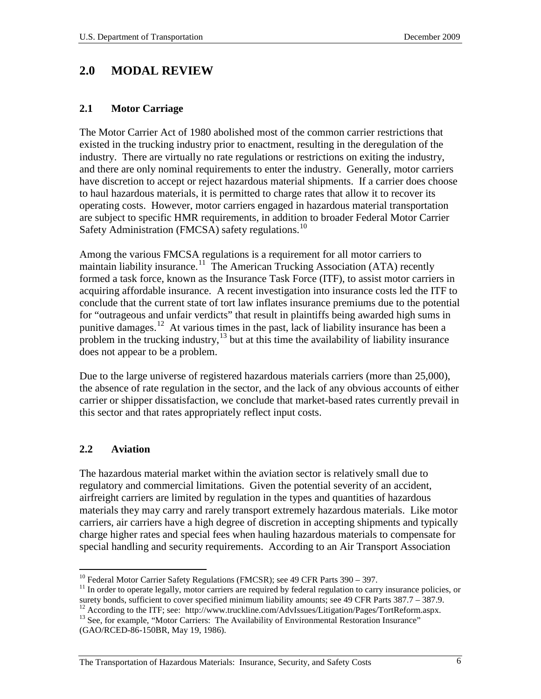## <span id="page-7-0"></span>**2.0 MODAL REVIEW**

#### <span id="page-7-1"></span>**2.1 Motor Carriage**

The Motor Carrier Act of 1980 abolished most of the common carrier restrictions that existed in the trucking industry prior to enactment, resulting in the deregulation of the industry. There are virtually no rate regulations or restrictions on exiting the industry, and there are only nominal requirements to enter the industry. Generally, motor carriers have discretion to accept or reject hazardous material shipments. If a carrier does choose to haul hazardous materials, it is permitted to charge rates that allow it to recover its operating costs. However, motor carriers engaged in hazardous material transportation are subject to specific HMR requirements, in addition to broader Federal Motor Carrier Safety Administration (FMCSA) safety regulations.<sup>[10](#page-7-3)</sup>

Among the various FMCSA regulations is a requirement for all motor carriers to maintain liability insurance.<sup>11</sup> The American Trucking Association (ATA) recently formed a task force, known as the Insurance Task Force (ITF), to assist motor carriers in acquiring affordable insurance. A recent investigation into insurance costs led the ITF to conclude that the current state of tort law inflates insurance premiums due to the potential for "outrageous and unfair verdicts" that result in plaintiffs being awarded high sums in punitive damages.[12](#page-7-5) At various times in the past, lack of liability insurance has been a problem in the trucking industry, $13$  but at this time the availability of liability insurance does not appear to be a problem.

Due to the large universe of registered hazardous materials carriers (more than 25,000), the absence of rate regulation in the sector, and the lack of any obvious accounts of either carrier or shipper dissatisfaction, we conclude that market-based rates currently prevail in this sector and that rates appropriately reflect input costs.

## <span id="page-7-2"></span>**2.2 Aviation**

The hazardous material market within the aviation sector is relatively small due to regulatory and commercial limitations. Given the potential severity of an accident, airfreight carriers are limited by regulation in the types and quantities of hazardous materials they may carry and rarely transport extremely hazardous materials. Like motor carriers, air carriers have a high degree of discretion in accepting shipments and typically charge higher rates and special fees when hauling hazardous materials to compensate for special handling and security requirements. According to an Air Transport Association

<span id="page-7-6"></span><span id="page-7-5"></span><sup>12</sup> According to the ITF; see: http://www.truckline.com/AdvIssues/Litigation/Pages/TortReform.aspx.<br><sup>13</sup> See, for example, "Motor Carriers: The Availability of Environmental Restoration Insurance" (GAO/RCED-86-150BR, May 19, 1986).

<span id="page-7-4"></span><span id="page-7-3"></span><sup>&</sup>lt;sup>10</sup> Federal Motor Carrier Safety Regulations (FMCSR); see 49 CFR Parts 390 – 397.<br><sup>11</sup> In order to operate legally, motor carriers are required by federal regulation to carry insurance policies, or surety bonds, sufficie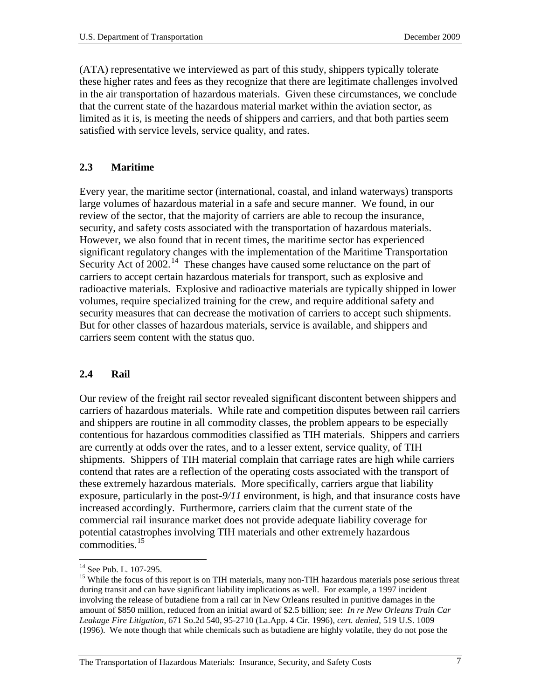(ATA) representative we interviewed as part of this study, shippers typically tolerate these higher rates and fees as they recognize that there are legitimate challenges involved in the air transportation of hazardous materials. Given these circumstances, we conclude that the current state of the hazardous material market within the aviation sector, as limited as it is, is meeting the needs of shippers and carriers, and that both parties seem satisfied with service levels, service quality, and rates.

#### <span id="page-8-0"></span>**2.3 Maritime**

Every year, the maritime sector (international, coastal, and inland waterways) transports large volumes of hazardous material in a safe and secure manner. We found, in our review of the sector, that the majority of carriers are able to recoup the insurance, security, and safety costs associated with the transportation of hazardous materials. However, we also found that in recent times, the maritime sector has experienced significant regulatory changes with the implementation of the Maritime Transportation Security Act of 2002.<sup>14</sup> These changes have caused some reluctance on the part of carriers to accept certain hazardous materials for transport, such as explosive and radioactive materials. Explosive and radioactive materials are typically shipped in lower volumes, require specialized training for the crew, and require additional safety and security measures that can decrease the motivation of carriers to accept such shipments. But for other classes of hazardous materials, service is available, and shippers and carriers seem content with the status quo.

#### <span id="page-8-1"></span>**2.4 Rail**

Our review of the freight rail sector revealed significant discontent between shippers and carriers of hazardous materials. While rate and competition disputes between rail carriers and shippers are routine in all commodity classes, the problem appears to be especially contentious for hazardous commodities classified as TIH materials. Shippers and carriers are currently at odds over the rates, and to a lesser extent, service quality, of TIH shipments. Shippers of TIH material complain that carriage rates are high while carriers contend that rates are a reflection of the operating costs associated with the transport of these extremely hazardous materials. More specifically, carriers argue that liability exposure, particularly in the post-*9/11* environment, is high, and that insurance costs have increased accordingly. Furthermore, carriers claim that the current state of the commercial rail insurance market does not provide adequate liability coverage for potential catastrophes involving TIH materials and other extremely hazardous commodities. $15$ 

<span id="page-8-3"></span><span id="page-8-2"></span><sup>&</sup>lt;sup>14</sup> See Pub. L. 107-295.<br><sup>15</sup> While the focus of this report is on TIH materials, many non-TIH hazardous materials pose serious threat during transit and can have significant liability implications as well. For example, a 1997 incident involving the release of butadiene from a rail car in New Orleans resulted in punitive damages in the amount of \$850 million, reduced from an initial award of \$2.5 billion; see: *In re New Orleans Train Car Leakage Fire Litigation,* 671 So.2d 540, 95-2710 (La.App. 4 Cir. 1996), *cert. denied*, 519 U.S. 1009 (1996). We note though that while chemicals such as butadiene are highly volatile, they do not pose the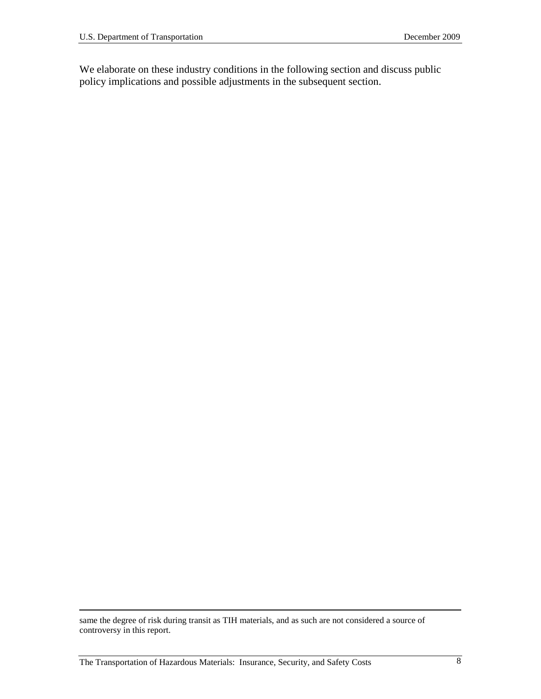We elaborate on these industry conditions in the following section and discuss public policy implications and possible adjustments in the subsequent section.

 $\overline{a}$ 

same the degree of risk during transit as TIH materials, and as such are not considered a source of controversy in this report.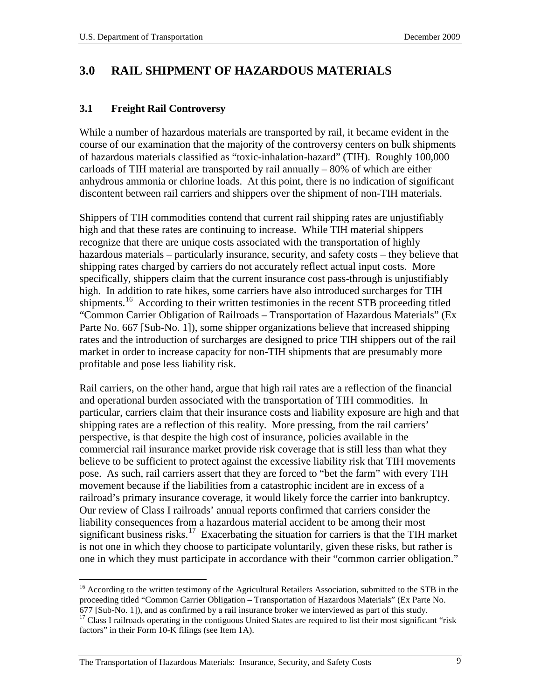# <span id="page-10-0"></span>**3.0 RAIL SHIPMENT OF HAZARDOUS MATERIALS**

#### <span id="page-10-1"></span>**3.1 Freight Rail Controversy**

While a number of hazardous materials are transported by rail, it became evident in the course of our examination that the majority of the controversy centers on bulk shipments of hazardous materials classified as "toxic-inhalation-hazard" (TIH). Roughly 100,000 carloads of TIH material are transported by rail annually – 80% of which are either anhydrous ammonia or chlorine loads. At this point, there is no indication of significant discontent between rail carriers and shippers over the shipment of non-TIH materials.

Shippers of TIH commodities contend that current rail shipping rates are unjustifiably high and that these rates are continuing to increase. While TIH material shippers recognize that there are unique costs associated with the transportation of highly hazardous materials – particularly insurance, security, and safety costs – they believe that shipping rates charged by carriers do not accurately reflect actual input costs. More specifically, shippers claim that the current insurance cost pass-through is unjustifiably high. In addition to rate hikes, some carriers have also introduced surcharges for TIH shipments.<sup>[16](#page-10-2)</sup> According to their written testimonies in the recent STB proceeding titled "Common Carrier Obligation of Railroads – Transportation of Hazardous Materials" (Ex Parte No. 667 [Sub-No. 1]), some shipper organizations believe that increased shipping rates and the introduction of surcharges are designed to price TIH shippers out of the rail market in order to increase capacity for non-TIH shipments that are presumably more profitable and pose less liability risk.

Rail carriers, on the other hand, argue that high rail rates are a reflection of the financial and operational burden associated with the transportation of TIH commodities. In particular, carriers claim that their insurance costs and liability exposure are high and that shipping rates are a reflection of this reality. More pressing, from the rail carriers' perspective, is that despite the high cost of insurance, policies available in the commercial rail insurance market provide risk coverage that is still less than what they believe to be sufficient to protect against the excessive liability risk that TIH movements pose. As such, rail carriers assert that they are forced to "bet the farm" with every TIH movement because if the liabilities from a catastrophic incident are in excess of a railroad's primary insurance coverage, it would likely force the carrier into bankruptcy. Our review of Class I railroads' annual reports confirmed that carriers consider the liability consequences from a hazardous material accident to be among their most significant business risks.<sup>17</sup> Exacerbating the situation for carriers is that the TIH market is not one in which they choose to participate voluntarily, given these risks, but rather is one in which they must participate in accordance with their "common carrier obligation."

<span id="page-10-2"></span><sup>&</sup>lt;sup>16</sup> According to the written testimony of the Agricultural Retailers Association, submitted to the STB in the proceeding titled "Common Carrier Obligation – Transportation of Hazardous Materials" (Ex Parte No.

<span id="page-10-3"></span><sup>677 [</sup>Sub-No. 1]), and as confirmed by a rail insurance broker we interviewed as part of this study. <sup>17</sup> Class I railroads operating in the contiguous United States are required to list their most significant "risk factors" in their Form 10-K filings (see Item 1A).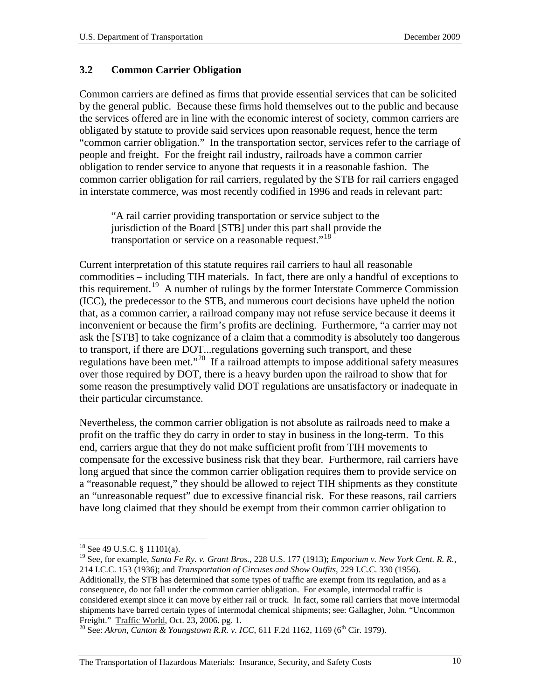#### <span id="page-11-0"></span>**3.2 Common Carrier Obligation**

Common carriers are defined as firms that provide essential services that can be solicited by the general public. Because these firms hold themselves out to the public and because the services offered are in line with the economic interest of society, common carriers are obligated by statute to provide said services upon reasonable request, hence the term "common carrier obligation." In the transportation sector, services refer to the carriage of people and freight. For the freight rail industry, railroads have a common carrier obligation to render service to anyone that requests it in a reasonable fashion. The common carrier obligation for rail carriers, regulated by the STB for rail carriers engaged in interstate commerce, was most recently codified in 1996 and reads in relevant part:

"A rail carrier providing transportation or service subject to the jurisdiction of the Board [STB] under this part shall provide the transportation or service on a reasonable request."<sup>[18](#page-11-1)</sup>

Current interpretation of this statute requires rail carriers to haul all reasonable commodities – including TIH materials. In fact, there are only a handful of exceptions to this requirement.[19](#page-11-2) A number of rulings by the former Interstate Commerce Commission (ICC), the predecessor to the STB, and numerous court decisions have upheld the notion that, as a common carrier, a railroad company may not refuse service because it deems it inconvenient or because the firm's profits are declining. Furthermore, "a carrier may not ask the [STB] to take cognizance of a claim that a commodity is absolutely too dangerous to transport, if there are DOT...regulations governing such transport, and these regulations have been met."[20](#page-11-3) If a railroad attempts to impose additional safety measures over those required by DOT, there is a heavy burden upon the railroad to show that for some reason the presumptively valid DOT regulations are unsatisfactory or inadequate in their particular circumstance.

Nevertheless, the common carrier obligation is not absolute as railroads need to make a profit on the traffic they do carry in order to stay in business in the long-term. To this end, carriers argue that they do not make sufficient profit from TIH movements to compensate for the excessive business risk that they bear. Furthermore, rail carriers have long argued that since the common carrier obligation requires them to provide service on a "reasonable request," they should be allowed to reject TIH shipments as they constitute an "unreasonable request" due to excessive financial risk. For these reasons, rail carriers have long claimed that they should be exempt from their common carrier obligation to

<span id="page-11-2"></span><span id="page-11-1"></span><sup>18</sup> See 49 U.S.C. § 11101(a). <sup>19</sup> See, for example, *Santa Fe Ry. v. Grant Bros.*, 228 U.S. 177 (1913); *Emporium v. New York Cent. R. R.*, 214 I.C.C. 153 (1936); and *Transportation of Circuses and Show Outfits*, 229 I.C.C. 330 (1956). Additionally, the STB has determined that some types of traffic are exempt from its regulation, and as a consequence, do not fall under the common carrier obligation. For example, intermodal traffic is considered exempt since it can move by either rail or truck. In fact, some rail carriers that move intermodal shipments have barred certain types of intermodal chemical shipments; see: Gallagher, John. "Uncommon

<span id="page-11-3"></span>Freight." Traffic World, Oct. 23, 2006. pg. 1.<br><sup>20</sup> See: *Akron, Canton & Youngstown R.R. v. ICC*, 611 F.2d 1162, 1169 (6<sup>th</sup> Cir. 1979).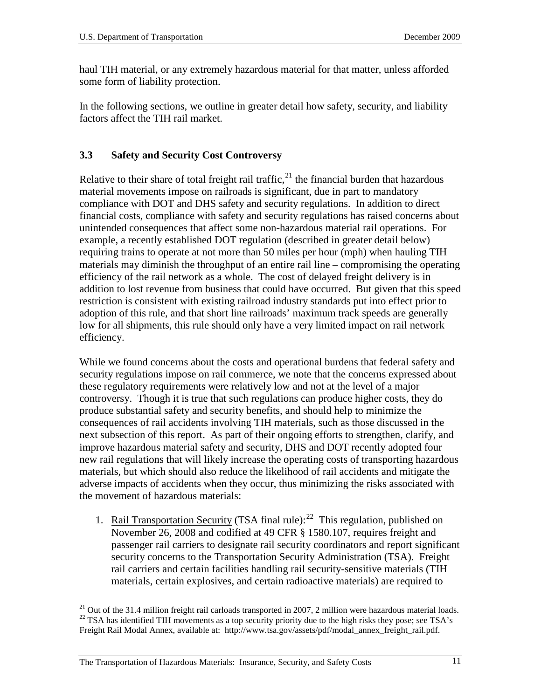haul TIH material, or any extremely hazardous material for that matter, unless afforded some form of liability protection.

In the following sections, we outline in greater detail how safety, security, and liability factors affect the TIH rail market.

## <span id="page-12-0"></span>**3.3 Safety and Security Cost Controversy**

Relative to their share of total freight rail traffic,<sup>[21](#page-12-1)</sup> the financial burden that hazardous material movements impose on railroads is significant, due in part to mandatory compliance with DOT and DHS safety and security regulations. In addition to direct financial costs, compliance with safety and security regulations has raised concerns about unintended consequences that affect some non-hazardous material rail operations. For example, a recently established DOT regulation (described in greater detail below) requiring trains to operate at not more than 50 miles per hour (mph) when hauling TIH materials may diminish the throughput of an entire rail line – compromising the operating efficiency of the rail network as a whole. The cost of delayed freight delivery is in addition to lost revenue from business that could have occurred. But given that this speed restriction is consistent with existing railroad industry standards put into effect prior to adoption of this rule, and that short line railroads' maximum track speeds are generally low for all shipments, this rule should only have a very limited impact on rail network efficiency.

While we found concerns about the costs and operational burdens that federal safety and security regulations impose on rail commerce, we note that the concerns expressed about these regulatory requirements were relatively low and not at the level of a major controversy. Though it is true that such regulations can produce higher costs, they do produce substantial safety and security benefits, and should help to minimize the consequences of rail accidents involving TIH materials, such as those discussed in the next subsection of this report. As part of their ongoing efforts to strengthen, clarify, and improve hazardous material safety and security, DHS and DOT recently adopted four new rail regulations that will likely increase the operating costs of transporting hazardous materials, but which should also reduce the likelihood of rail accidents and mitigate the adverse impacts of accidents when they occur, thus minimizing the risks associated with the movement of hazardous materials:

1. Rail Transportation Security (TSA final rule): $^{22}$  This regulation, published on November 26, 2008 and codified at 49 CFR § 1580.107, requires freight and passenger rail carriers to designate rail security coordinators and report significant security concerns to the Transportation Security Administration (TSA). Freight rail carriers and certain facilities handling rail security-sensitive materials (TIH materials, certain explosives, and certain radioactive materials) are required to

<span id="page-12-2"></span><span id="page-12-1"></span><sup>&</sup>lt;sup>21</sup> Out of the 31.4 million freight rail carloads transported in 2007, 2 million were hazardous material loads. <sup>22</sup> TSA has identified TIH movements as a top security priority due to the high risks they pose; see TSA's Freight Rail Modal Annex, available at: http://www.tsa.gov/assets/pdf/modal\_annex\_freight\_rail.pdf.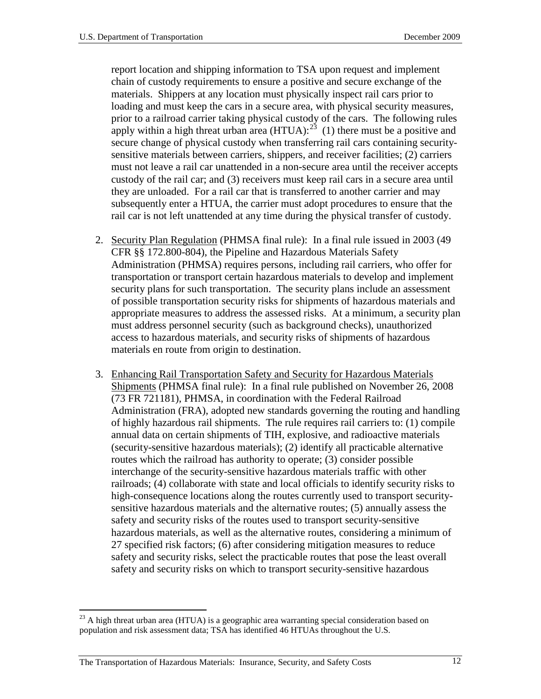report location and shipping information to TSA upon request and implement chain of custody requirements to ensure a positive and secure exchange of the materials. Shippers at any location must physically inspect rail cars prior to loading and must keep the cars in a secure area, with physical security measures, prior to a railroad carrier taking physical custody of the cars. The following rules apply within a high threat urban area  $(HTUA)$ :<sup>23</sup> (1) there must be a positive and secure change of physical custody when transferring rail cars containing securitysensitive materials between carriers, shippers, and receiver facilities; (2) carriers must not leave a rail car unattended in a non-secure area until the receiver accepts custody of the rail car; and (3) receivers must keep rail cars in a secure area until they are unloaded. For a rail car that is transferred to another carrier and may subsequently enter a HTUA, the carrier must adopt procedures to ensure that the rail car is not left unattended at any time during the physical transfer of custody.

- 2. Security Plan Regulation (PHMSA final rule): In a final rule issued in 2003 (49 CFR §§ 172.800-804), the Pipeline and Hazardous Materials Safety Administration (PHMSA) requires persons, including rail carriers, who offer for transportation or transport certain hazardous materials to develop and implement security plans for such transportation. The security plans include an assessment of possible transportation security risks for shipments of hazardous materials and appropriate measures to address the assessed risks. At a minimum, a security plan must address personnel security (such as background checks), unauthorized access to hazardous materials, and security risks of shipments of hazardous materials en route from origin to destination.
- 3. Enhancing Rail Transportation Safety and Security for Hazardous Materials Shipments (PHMSA final rule): In a final rule published on November 26, 2008 (73 FR 721181), PHMSA, in coordination with the Federal Railroad Administration (FRA), adopted new standards governing the routing and handling of highly hazardous rail shipments. The rule requires rail carriers to: (1) compile annual data on certain shipments of TIH, explosive, and radioactive materials (security-sensitive hazardous materials); (2) identify all practicable alternative routes which the railroad has authority to operate; (3) consider possible interchange of the security-sensitive hazardous materials traffic with other railroads; (4) collaborate with state and local officials to identify security risks to high-consequence locations along the routes currently used to transport securitysensitive hazardous materials and the alternative routes; (5) annually assess the safety and security risks of the routes used to transport security-sensitive hazardous materials, as well as the alternative routes, considering a minimum of 27 specified risk factors; (6) after considering mitigation measures to reduce safety and security risks, select the practicable routes that pose the least overall safety and security risks on which to transport security-sensitive hazardous

<span id="page-13-0"></span> $23$  A high threat urban area (HTUA) is a geographic area warranting special consideration based on population and risk assessment data; TSA has identified 46 HTUAs throughout the U.S.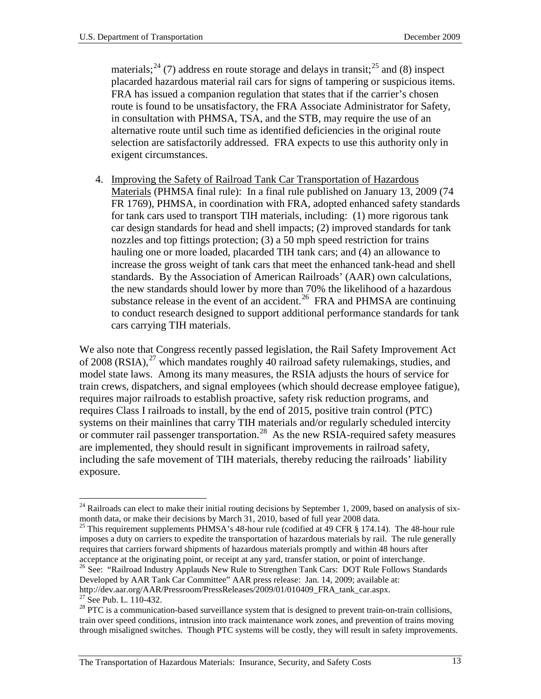materials;<sup>[24](#page-14-0)</sup> (7) address en route storage and delays in transit;<sup>[25](#page-14-1)</sup> and (8) inspect placarded hazardous material rail cars for signs of tampering or suspicious items. FRA has issued a companion regulation that states that if the carrier's chosen route is found to be unsatisfactory, the FRA Associate Administrator for Safety, in consultation with PHMSA, TSA, and the STB, may require the use of an alternative route until such time as identified deficiencies in the original route selection are satisfactorily addressed. FRA expects to use this authority only in exigent circumstances.

4. Improving the Safety of Railroad Tank Car Transportation of Hazardous Materials (PHMSA final rule): In a final rule published on January 13, 2009 (74 FR 1769), PHMSA, in coordination with FRA, adopted enhanced safety standards for tank cars used to transport TIH materials, including: (1) more rigorous tank car design standards for head and shell impacts; (2) improved standards for tank nozzles and top fittings protection; (3) a 50 mph speed restriction for trains hauling one or more loaded, placarded TIH tank cars; and (4) an allowance to increase the gross weight of tank cars that meet the enhanced tank-head and shell standards. By the Association of American Railroads' (AAR) own calculations, the new standards should lower by more than 70% the likelihood of a hazardous substance release in the event of an accident.<sup>26</sup> FRA and PHMSA are continuing to conduct research designed to support additional performance standards for tank cars carrying TIH materials.

We also note that Congress recently passed legislation, the Rail Safety Improvement Act of 2008 (RSIA), $^{27}$  $^{27}$  $^{27}$  which mandates roughly 40 railroad safety rulemakings, studies, and model state laws. Among its many measures, the RSIA adjusts the hours of service for train crews, dispatchers, and signal employees (which should decrease employee fatigue), requires major railroads to establish proactive, safety risk reduction programs, and requires Class I railroads to install, by the end of 2015, positive train control (PTC) systems on their mainlines that carry TIH materials and/or regularly scheduled intercity or commuter rail passenger transportation.<sup>[28](#page-14-4)</sup> As the new RSIA-required safety measures are implemented, they should result in significant improvements in railroad safety, including the safe movement of TIH materials, thereby reducing the railroads' liability exposure.

<span id="page-14-0"></span> $24$  Railroads can elect to make their initial routing decisions by September 1, 2009, based on analysis of sixmonth data, or make their decisions by March 31, 2010, based of full year 2008 data.

<span id="page-14-1"></span><sup>&</sup>lt;sup>25</sup> This requirement supplements PHMSA's 48-hour rule (codified at 49 CFR  $\S$  174.14). The 48-hour rule imposes a duty on carriers to expedite the transportation of hazardous materials by rail. The rule generally requires that carriers forward shipments of hazardous materials promptly and within 48 hours after acceptance at the originating point, or receipt at any vard, transfer station, or point of interchange.

<span id="page-14-2"></span><sup>&</sup>lt;sup>26</sup> See: "Railroad Industry Applauds New Rule to Strengthen Tank Cars: DOT Rule Follows Standards Developed by AAR Tank Car Committee" AAR press release: Jan. 14, 2009; available at:

<span id="page-14-4"></span>

<span id="page-14-3"></span>http://dev.aar.org/AAR/Pressroom/PressReleases/2009/01/010409\_FRA\_tank\_car.aspx.<br><sup>27</sup> See Pub. L. 110-432.<br><sup>28</sup> PTC is a communication-based surveillance system that is designed to prevent train-on-train collisions, train over speed conditions, intrusion into track maintenance work zones, and prevention of trains moving through misaligned switches. Though PTC systems will be costly, they will result in safety improvements.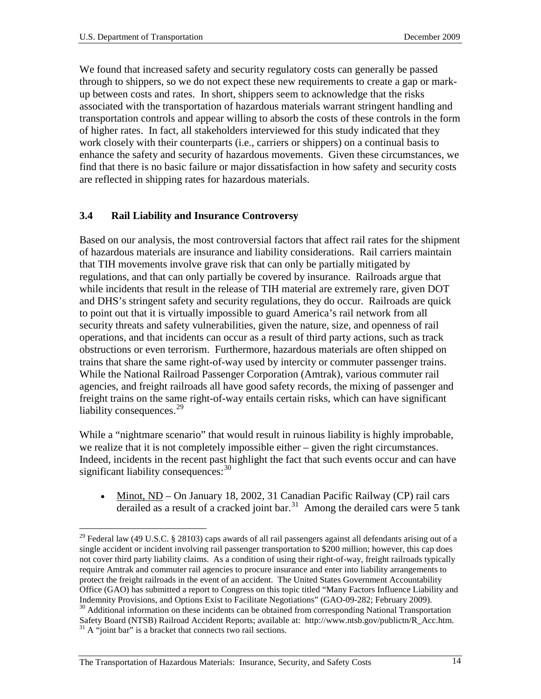We found that increased safety and security regulatory costs can generally be passed through to shippers, so we do not expect these new requirements to create a gap or markup between costs and rates. In short, shippers seem to acknowledge that the risks associated with the transportation of hazardous materials warrant stringent handling and transportation controls and appear willing to absorb the costs of these controls in the form of higher rates. In fact, all stakeholders interviewed for this study indicated that they work closely with their counterparts (i.e., carriers or shippers) on a continual basis to enhance the safety and security of hazardous movements. Given these circumstances, we find that there is no basic failure or major dissatisfaction in how safety and security costs are reflected in shipping rates for hazardous materials.

#### <span id="page-15-0"></span>**3.4 Rail Liability and Insurance Controversy**

Based on our analysis, the most controversial factors that affect rail rates for the shipment of hazardous materials are insurance and liability considerations. Rail carriers maintain that TIH movements involve grave risk that can only be partially mitigated by regulations, and that can only partially be covered by insurance. Railroads argue that while incidents that result in the release of TIH material are extremely rare, given DOT and DHS's stringent safety and security regulations, they do occur. Railroads are quick to point out that it is virtually impossible to guard America's rail network from all security threats and safety vulnerabilities, given the nature, size, and openness of rail operations, and that incidents can occur as a result of third party actions, such as track obstructions or even terrorism. Furthermore, hazardous materials are often shipped on trains that share the same right-of-way used by intercity or commuter passenger trains. While the National Railroad Passenger Corporation (Amtrak), various commuter rail agencies, and freight railroads all have good safety records, the mixing of passenger and freight trains on the same right-of-way entails certain risks, which can have significant liability consequences.<sup>[29](#page-15-1)</sup>

While a "nightmare scenario" that would result in ruinous liability is highly improbable, we realize that it is not completely impossible either – given the right circumstances. Indeed, incidents in the recent past highlight the fact that such events occur and can have significant liability consequences:  $30$ 

• Minot, ND – On January 18, 2002, 31 Canadian Pacific Railway (CP) rail cars derailed as a result of a cracked joint bar.<sup>[31](#page-15-3)</sup> Among the derailed cars were 5 tank

<span id="page-15-1"></span> $29$  Federal law (49 U.S.C. § 28103) caps awards of all rail passengers against all defendants arising out of a single accident or incident involving rail passenger transportation to \$200 million; however, this cap does not cover third party liability claims. As a condition of using their right-of-way, freight railroads typically require Amtrak and commuter rail agencies to procure insurance and enter into liability arrangements to protect the freight railroads in the event of an accident. The United States Government Accountability Office (GAO) has submitted a report to Congress on this topic titled "Many Factors Influence Liability and Indemnity Provisions, and Options Exist to Facilitate Negotiations" (GAO-09-282; February 2009).<br><sup>30</sup> Additional information on these incidents can be obtained from corresponding National Transportation

<span id="page-15-3"></span><span id="page-15-2"></span>Safety Board (NTSB) Railroad Accident Reports; available at: http://www.ntsb.gov/publictn/R\_Acc.htm. <sup>31</sup> A "joint bar" is a bracket that connects two rail sections.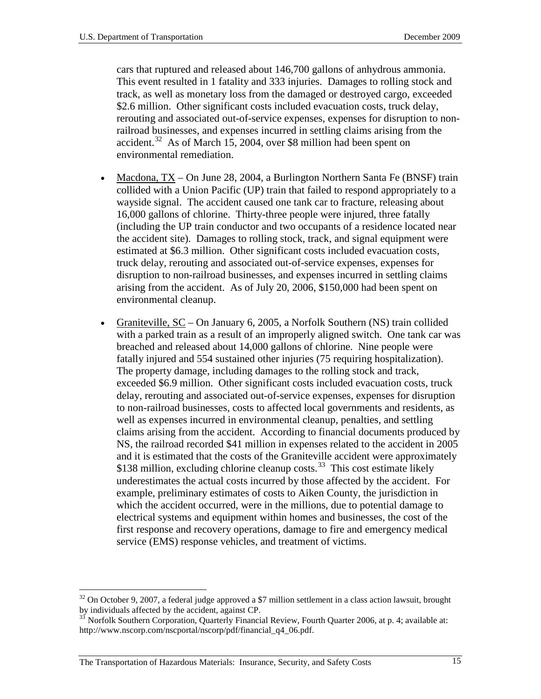cars that ruptured and released about 146,700 gallons of anhydrous ammonia. This event resulted in 1 fatality and 333 injuries. Damages to rolling stock and track, as well as monetary loss from the damaged or destroyed cargo, exceeded \$2.6 million. Other significant costs included evacuation costs, truck delay, rerouting and associated out-of-service expenses, expenses for disruption to nonrailroad businesses, and expenses incurred in settling claims arising from the accident.<sup>[32](#page-16-0)</sup> As of March 15, 2004, over \$8 million had been spent on environmental remediation.

- Macdona, TX On June 28, 2004, a Burlington Northern Santa Fe (BNSF) train collided with a Union Pacific (UP) train that failed to respond appropriately to a wayside signal. The accident caused one tank car to fracture, releasing about 16,000 gallons of chlorine. Thirty-three people were injured, three fatally (including the UP train conductor and two occupants of a residence located near the accident site). Damages to rolling stock, track, and signal equipment were estimated at \$6.3 million. Other significant costs included evacuation costs, truck delay, rerouting and associated out-of-service expenses, expenses for disruption to non-railroad businesses, and expenses incurred in settling claims arising from the accident. As of July 20, 2006, \$150,000 had been spent on environmental cleanup.
- Graniteville, SC On January 6, 2005, a Norfolk Southern (NS) train collided with a parked train as a result of an improperly aligned switch. One tank car was breached and released about 14,000 gallons of chlorine. Nine people were fatally injured and 554 sustained other injuries (75 requiring hospitalization). The property damage, including damages to the rolling stock and track, exceeded \$6.9 million. Other significant costs included evacuation costs, truck delay, rerouting and associated out-of-service expenses, expenses for disruption to non-railroad businesses, costs to affected local governments and residents, as well as expenses incurred in environmental cleanup, penalties, and settling claims arising from the accident. According to financial documents produced by NS, the railroad recorded \$41 million in expenses related to the accident in 2005 and it is estimated that the costs of the Graniteville accident were approximately \$138 million, excluding chlorine cleanup costs.<sup>[33](#page-16-1)</sup> This cost estimate likely underestimates the actual costs incurred by those affected by the accident. For example, preliminary estimates of costs to Aiken County, the jurisdiction in which the accident occurred, were in the millions, due to potential damage to electrical systems and equipment within homes and businesses, the cost of the first response and recovery operations, damage to fire and emergency medical service (EMS) response vehicles, and treatment of victims.

<span id="page-16-0"></span> $32$  On October 9, 2007, a federal judge approved a \$7 million settlement in a class action lawsuit, brought by individuals affected by the accident, against CP.

<span id="page-16-1"></span> $\frac{33}{33}$  Norfolk Southern Corporation, Quarterly Financial Review, Fourth Quarter 2006, at p. 4; available at: http://www.nscorp.com/nscportal/nscorp/pdf/financial\_q4\_06.pdf.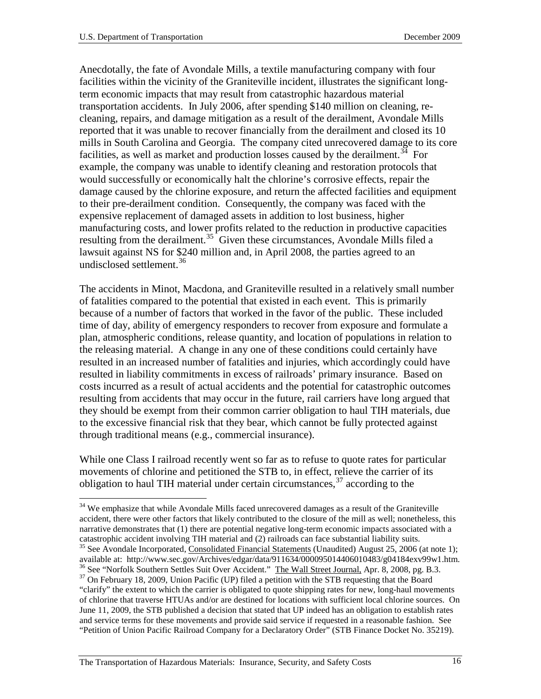Anecdotally, the fate of Avondale Mills, a textile manufacturing company with four facilities within the vicinity of the Graniteville incident, illustrates the significant longterm economic impacts that may result from catastrophic hazardous material transportation accidents. In July 2006, after spending \$140 million on cleaning, recleaning, repairs, and damage mitigation as a result of the derailment, Avondale Mills reported that it was unable to recover financially from the derailment and closed its 10 mills in South Carolina and Georgia. The company cited unrecovered damage to its core facilities, as well as market and production losses caused by the derailment.<sup>34</sup> For example, the company was unable to identify cleaning and restoration protocols that would successfully or economically halt the chlorine's corrosive effects, repair the damage caused by the chlorine exposure, and return the affected facilities and equipment to their pre-derailment condition. Consequently, the company was faced with the expensive replacement of damaged assets in addition to lost business, higher manufacturing costs, and lower profits related to the reduction in productive capacities resulting from the derailment.<sup>35</sup> Given these circumstances, Avondale Mills filed a lawsuit against NS for \$240 million and, in April 2008, the parties agreed to an undisclosed settlement.<sup>[36](#page-17-2)</sup>

The accidents in Minot, Macdona, and Graniteville resulted in a relatively small number of fatalities compared to the potential that existed in each event. This is primarily because of a number of factors that worked in the favor of the public. These included time of day, ability of emergency responders to recover from exposure and formulate a plan, atmospheric conditions, release quantity, and location of populations in relation to the releasing material. A change in any one of these conditions could certainly have resulted in an increased number of fatalities and injuries, which accordingly could have resulted in liability commitments in excess of railroads' primary insurance. Based on costs incurred as a result of actual accidents and the potential for catastrophic outcomes resulting from accidents that may occur in the future, rail carriers have long argued that they should be exempt from their common carrier obligation to haul TIH materials, due to the excessive financial risk that they bear, which cannot be fully protected against through traditional means (e.g., commercial insurance).

While one Class I railroad recently went so far as to refuse to quote rates for particular movements of chlorine and petitioned the STB to, in effect, relieve the carrier of its obligation to haul TIH material under certain circumstances,  $37$  according to the

<span id="page-17-3"></span><span id="page-17-2"></span><span id="page-17-1"></span><span id="page-17-0"></span><sup>&</sup>lt;sup>34</sup> We emphasize that while Avondale Mills faced unrecovered damages as a result of the Graniteville accident, there were other factors that likely contributed to the closure of the mill as well; nonetheless, this narrative demonstrates that (1) there are potential negative long-term economic impacts associated with a catastrophic accident involving TIH material and (2) railroads can face substantial liability suits. <sup>35</sup> See Avondale Incorporated, Consolidated Financial Statements (Unaudited) August 25, 2006 (at note 1);<br>available at: http://www.sec.gov/Archives/edgar/data/911634/000095014406010483/g04184exv99w1.htm. <sup>36</sup> See "Norfolk Southern Settles Suit Over Accident." The Wall Street Journal, Apr. 8, 2008, pg. B.3.<br><sup>37</sup> On February 18, 2009, Union Pacific (UP) filed a petition with the STB requesting that the Board "clarify" the extent to which the carrier is obligated to quote shipping rates for new, long-haul movements of chlorine that traverse HTUAs and/or are destined for locations with sufficient local chlorine sources. On June 11, 2009, the STB published a decision that stated that UP indeed has an obligation to establish rates and service terms for these movements and provide said service if requested in a reasonable fashion. See "Petition of Union Pacific Railroad Company for a Declaratory Order" (STB Finance Docket No. 35219).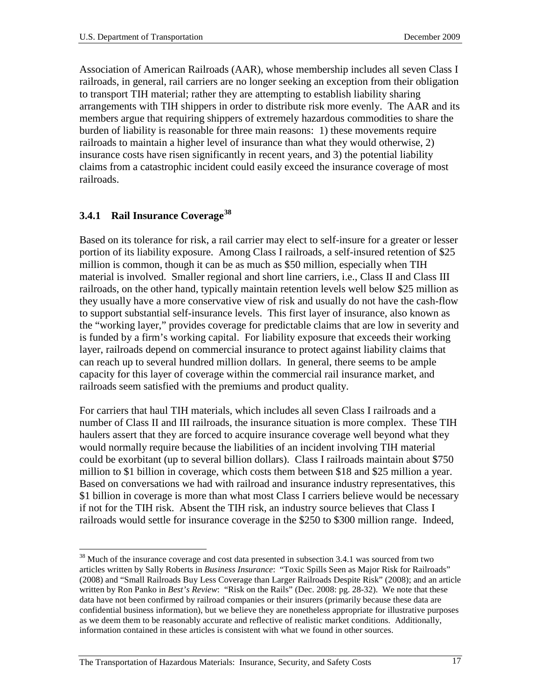Association of American Railroads (AAR), whose membership includes all seven Class I railroads, in general, rail carriers are no longer seeking an exception from their obligation to transport TIH material; rather they are attempting to establish liability sharing arrangements with TIH shippers in order to distribute risk more evenly. The AAR and its members argue that requiring shippers of extremely hazardous commodities to share the burden of liability is reasonable for three main reasons: 1) these movements require railroads to maintain a higher level of insurance than what they would otherwise, 2) insurance costs have risen significantly in recent years, and 3) the potential liability claims from a catastrophic incident could easily exceed the insurance coverage of most railroads.

### <span id="page-18-0"></span>**3.4.1 Rail Insurance Coverage[38](#page-18-1)**

Based on its tolerance for risk, a rail carrier may elect to self-insure for a greater or lesser portion of its liability exposure. Among Class I railroads, a self-insured retention of \$25 million is common, though it can be as much as \$50 million, especially when TIH material is involved. Smaller regional and short line carriers, i.e., Class II and Class III railroads, on the other hand, typically maintain retention levels well below \$25 million as they usually have a more conservative view of risk and usually do not have the cash-flow to support substantial self-insurance levels. This first layer of insurance, also known as the "working layer," provides coverage for predictable claims that are low in severity and is funded by a firm's working capital. For liability exposure that exceeds their working layer, railroads depend on commercial insurance to protect against liability claims that can reach up to several hundred million dollars. In general, there seems to be ample capacity for this layer of coverage within the commercial rail insurance market, and railroads seem satisfied with the premiums and product quality.

For carriers that haul TIH materials, which includes all seven Class I railroads and a number of Class II and III railroads, the insurance situation is more complex. These TIH haulers assert that they are forced to acquire insurance coverage well beyond what they would normally require because the liabilities of an incident involving TIH material could be exorbitant (up to several billion dollars). Class I railroads maintain about \$750 million to \$1 billion in coverage, which costs them between \$18 and \$25 million a year. Based on conversations we had with railroad and insurance industry representatives, this \$1 billion in coverage is more than what most Class I carriers believe would be necessary if not for the TIH risk. Absent the TIH risk, an industry source believes that Class I railroads would settle for insurance coverage in the \$250 to \$300 million range. Indeed,

<span id="page-18-1"></span><sup>&</sup>lt;sup>38</sup> Much of the insurance coverage and cost data presented in subsection 3.4.1 was sourced from two articles written by Sally Roberts in *Business Insurance*: "Toxic Spills Seen as Major Risk for Railroads" (2008) and "Small Railroads Buy Less Coverage than Larger Railroads Despite Risk" (2008); and an article written by Ron Panko in *Best's Review*: "Risk on the Rails" (Dec. 2008: pg. 28-32). We note that these data have not been confirmed by railroad companies or their insurers (primarily because these data are confidential business information), but we believe they are nonetheless appropriate for illustrative purposes as we deem them to be reasonably accurate and reflective of realistic market conditions. Additionally, information contained in these articles is consistent with what we found in other sources.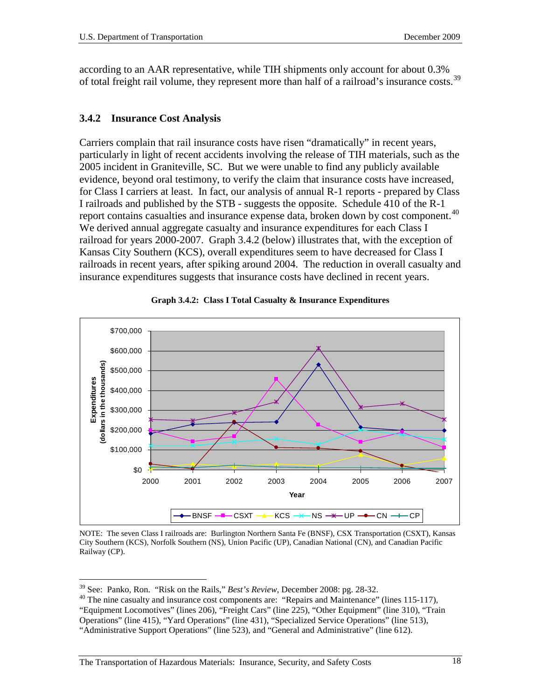according to an AAR representative, while TIH shipments only account for about 0.3% of total freight rail volume, they represent more than half of a railroad's insurance costs.<sup>[39](#page-19-1)</sup>

#### <span id="page-19-0"></span>**3.4.2 Insurance Cost Analysis**

Carriers complain that rail insurance costs have risen "dramatically" in recent years, particularly in light of recent accidents involving the release of TIH materials, such as the 2005 incident in Graniteville, SC. But we were unable to find any publicly available evidence, beyond oral testimony, to verify the claim that insurance costs have increased, for Class I carriers at least. In fact, our analysis of annual R-1 reports - prepared by Class I railroads and published by the STB - suggests the opposite. Schedule 410 of the R-1 report contains casualties and insurance expense data, broken down by cost component.<sup>40</sup> We derived annual aggregate casualty and insurance expenditures for each Class I railroad for years 2000-2007. Graph 3.4.2 (below) illustrates that, with the exception of Kansas City Southern (KCS), overall expenditures seem to have decreased for Class I railroads in recent years, after spiking around 2004. The reduction in overall casualty and insurance expenditures suggests that insurance costs have declined in recent years.





NOTE: The seven Class I railroads are: Burlington Northern Santa Fe (BNSF), CSX Transportation (CSXT), Kansas City Southern (KCS), Norfolk Southern (NS), Union Pacific (UP), Canadian National (CN), and Canadian Pacific Railway (CP).

<span id="page-19-2"></span><span id="page-19-1"></span><sup>&</sup>lt;sup>39</sup> See: Panko, Ron. "Risk on the Rails," *Best's Review*, December 2008: pg. 28-32.<br><sup>40</sup> The nine casualty and insurance cost components are: "Repairs and Maintenance" (lines 115-117), "Equipment Locomotives" (lines 206), "Freight Cars" (line 225), "Other Equipment" (line 310), "Train Operations" (line 415), "Yard Operations" (line 431), "Specialized Service Operations" (line 513), "Administrative Support Operations" (line 523), and "General and Administrative" (line 612).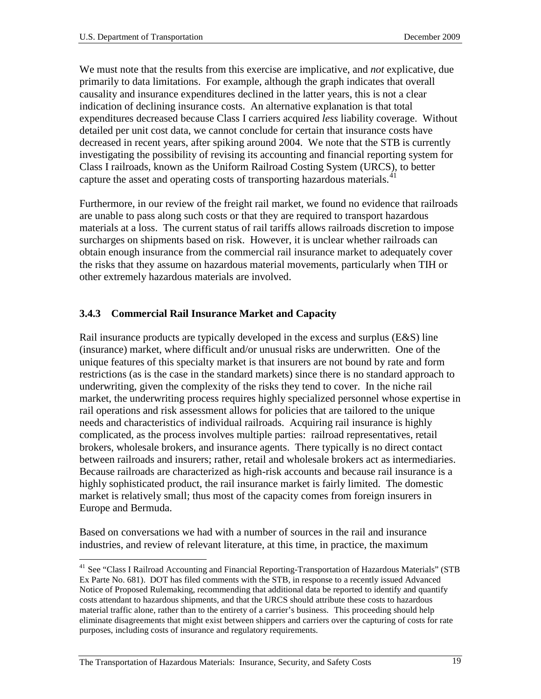We must note that the results from this exercise are implicative, and *not* explicative, due primarily to data limitations. For example, although the graph indicates that overall causality and insurance expenditures declined in the latter years, this is not a clear indication of declining insurance costs. An alternative explanation is that total expenditures decreased because Class I carriers acquired *less* liability coverage. Without detailed per unit cost data, we cannot conclude for certain that insurance costs have decreased in recent years, after spiking around 2004. We note that the STB is currently investigating the possibility of revising its accounting and financial reporting system for Class I railroads, known as the Uniform Railroad Costing System (URCS), to better capture the asset and operating costs of transporting hazardous materials.<sup>[41](#page-20-1)</sup>

Furthermore, in our review of the freight rail market, we found no evidence that railroads are unable to pass along such costs or that they are required to transport hazardous materials at a loss. The current status of rail tariffs allows railroads discretion to impose surcharges on shipments based on risk. However, it is unclear whether railroads can obtain enough insurance from the commercial rail insurance market to adequately cover the risks that they assume on hazardous material movements, particularly when TIH or other extremely hazardous materials are involved.

### <span id="page-20-0"></span>**3.4.3 Commercial Rail Insurance Market and Capacity**

Rail insurance products are typically developed in the excess and surplus (E&S) line (insurance) market, where difficult and/or unusual risks are underwritten. One of the unique features of this specialty market is that insurers are not bound by rate and form restrictions (as is the case in the standard markets) since there is no standard approach to underwriting, given the complexity of the risks they tend to cover. In the niche rail market, the underwriting process requires highly specialized personnel whose expertise in rail operations and risk assessment allows for policies that are tailored to the unique needs and characteristics of individual railroads. Acquiring rail insurance is highly complicated, as the process involves multiple parties: railroad representatives, retail brokers, wholesale brokers, and insurance agents. There typically is no direct contact between railroads and insurers; rather, retail and wholesale brokers act as intermediaries. Because railroads are characterized as high-risk accounts and because rail insurance is a highly sophisticated product, the rail insurance market is fairly limited. The domestic market is relatively small; thus most of the capacity comes from foreign insurers in Europe and Bermuda.

Based on conversations we had with a number of sources in the rail and insurance industries, and review of relevant literature, at this time, in practice, the maximum

<span id="page-20-1"></span><sup>&</sup>lt;sup>41</sup> See "Class I Railroad Accounting and Financial Reporting-Transportation of Hazardous Materials" (STB Ex Parte No. 681). DOT has filed comments with the STB, in response to a recently issued Advanced Notice of Proposed Rulemaking, recommending that additional data be reported to identify and quantify costs attendant to hazardous shipments, and that the URCS should attribute these costs to hazardous material traffic alone, rather than to the entirety of a carrier's business. This proceeding should help eliminate disagreements that might exist between shippers and carriers over the capturing of costs for rate purposes, including costs of insurance and regulatory requirements.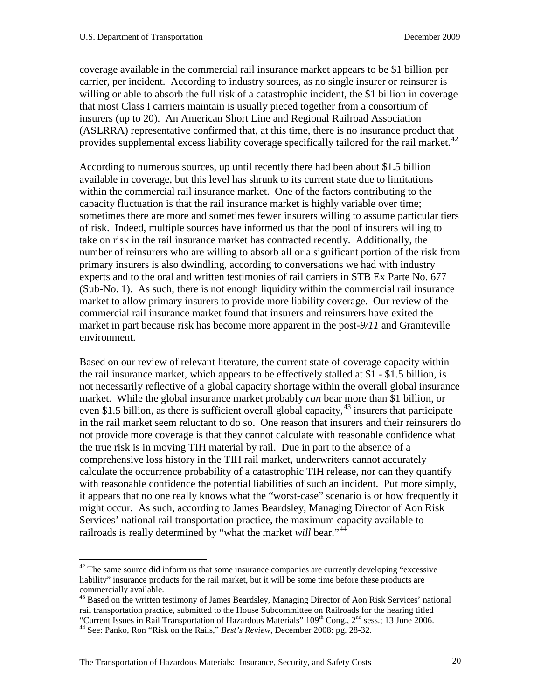coverage available in the commercial rail insurance market appears to be \$1 billion per carrier, per incident. According to industry sources, as no single insurer or reinsurer is willing or able to absorb the full risk of a catastrophic incident, the \$1 billion in coverage that most Class I carriers maintain is usually pieced together from a consortium of insurers (up to 20). An American Short Line and Regional Railroad Association (ASLRRA) representative confirmed that, at this time, there is no insurance product that provides supplemental excess liability coverage specifically tailored for the rail market.<sup>[42](#page-21-0)</sup>

According to numerous sources, up until recently there had been about \$1.5 billion available in coverage, but this level has shrunk to its current state due to limitations within the commercial rail insurance market. One of the factors contributing to the capacity fluctuation is that the rail insurance market is highly variable over time; sometimes there are more and sometimes fewer insurers willing to assume particular tiers of risk. Indeed, multiple sources have informed us that the pool of insurers willing to take on risk in the rail insurance market has contracted recently. Additionally, the number of reinsurers who are willing to absorb all or a significant portion of the risk from primary insurers is also dwindling, according to conversations we had with industry experts and to the oral and written testimonies of rail carriers in STB Ex Parte No. 677 (Sub-No. 1). As such, there is not enough liquidity within the commercial rail insurance market to allow primary insurers to provide more liability coverage. Our review of the commercial rail insurance market found that insurers and reinsurers have exited the market in part because risk has become more apparent in the post-*9/11* and Graniteville environment.

Based on our review of relevant literature, the current state of coverage capacity within the rail insurance market, which appears to be effectively stalled at \$1 - \$1.5 billion, is not necessarily reflective of a global capacity shortage within the overall global insurance market. While the global insurance market probably *can* bear more than \$1 billion, or even \$1.5 billion, as there is sufficient overall global capacity,  $43$  insurers that participate in the rail market seem reluctant to do so. One reason that insurers and their reinsurers do not provide more coverage is that they cannot calculate with reasonable confidence what the true risk is in moving TIH material by rail. Due in part to the absence of a comprehensive loss history in the TIH rail market, underwriters cannot accurately calculate the occurrence probability of a catastrophic TIH release, nor can they quantify with reasonable confidence the potential liabilities of such an incident. Put more simply, it appears that no one really knows what the "worst-case" scenario is or how frequently it might occur. As such, according to James Beardsley, Managing Director of Aon Risk Services' national rail transportation practice, the maximum capacity available to railroads is really determined by "what the market *will* bear."<sup>[44](#page-21-2)</sup>

<span id="page-21-0"></span> $42$  The same source did inform us that some insurance companies are currently developing "excessive liability" insurance products for the rail market, but it will be some time before these products are commercially available.

<span id="page-21-1"></span><sup>&</sup>lt;sup>43</sup> Based on the written testimony of James Beardsley, Managing Director of Aon Risk Services' national rail transportation practice, submitted to the House Subcommittee on Railroads for the hearing titled "Current Issues in Rail Transportation of Hazardous Materials" 109<sup>th</sup> Cong., 2<sup>nd</sup> sess.; 13 June 2006.<br><sup>44</sup> See: Panko, Ron "Risk on the Rails," *Best's Review*, December 2008: pg. 28-32.

<span id="page-21-2"></span>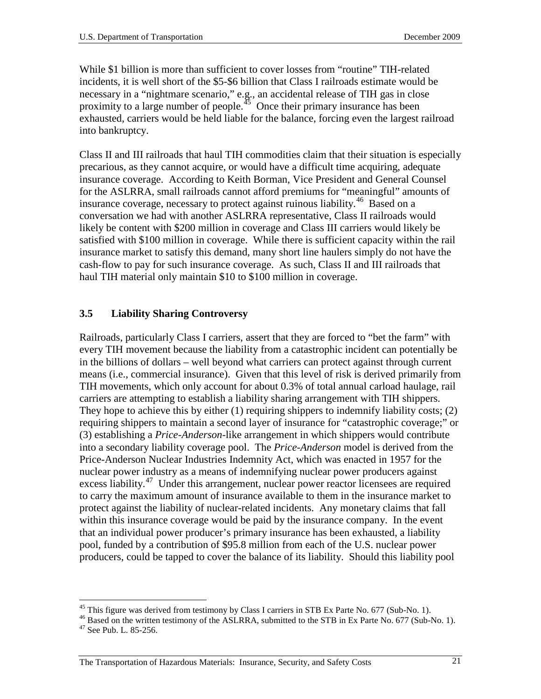While \$1 billion is more than sufficient to cover losses from "routine" TIH-related incidents, it is well short of the \$5-\$6 billion that Class I railroads estimate would be necessary in a "nightmare scenario," e.g., an accidental release of TIH gas in close proximity to a large number of people.<sup> $45$ </sup> Once their primary insurance has been exhausted, carriers would be held liable for the balance, forcing even the largest railroad into bankruptcy.

Class II and III railroads that haul TIH commodities claim that their situation is especially precarious, as they cannot acquire, or would have a difficult time acquiring, adequate insurance coverage. According to Keith Borman, Vice President and General Counsel for the ASLRRA, small railroads cannot afford premiums for "meaningful" amounts of insurance coverage, necessary to protect against ruinous liability.<sup>46</sup> Based on a conversation we had with another ASLRRA representative, Class II railroads would likely be content with \$200 million in coverage and Class III carriers would likely be satisfied with \$100 million in coverage. While there is sufficient capacity within the rail insurance market to satisfy this demand, many short line haulers simply do not have the cash-flow to pay for such insurance coverage. As such, Class II and III railroads that haul TIH material only maintain \$10 to \$100 million in coverage.

### <span id="page-22-0"></span>**3.5 Liability Sharing Controversy**

Railroads, particularly Class I carriers, assert that they are forced to "bet the farm" with every TIH movement because the liability from a catastrophic incident can potentially be in the billions of dollars – well beyond what carriers can protect against through current means (i.e., commercial insurance). Given that this level of risk is derived primarily from TIH movements, which only account for about 0.3% of total annual carload haulage, rail carriers are attempting to establish a liability sharing arrangement with TIH shippers. They hope to achieve this by either (1) requiring shippers to indemnify liability costs; (2) requiring shippers to maintain a second layer of insurance for "catastrophic coverage;" or (3) establishing a *Price-Anderson*-like arrangement in which shippers would contribute into a secondary liability coverage pool. The *Price-Anderson* model is derived from the Price-Anderson Nuclear Industries Indemnity Act, which was enacted in 1957 for the nuclear power industry as a means of indemnifying nuclear power producers against excess liability.<sup>[47](#page-22-3)</sup> Under this arrangement, nuclear power reactor licensees are required to carry the maximum amount of insurance available to them in the insurance market to protect against the liability of nuclear-related incidents. Any monetary claims that fall within this insurance coverage would be paid by the insurance company. In the event that an individual power producer's primary insurance has been exhausted, a liability pool, funded by a contribution of \$95.8 million from each of the U.S. nuclear power producers, could be tapped to cover the balance of its liability. Should this liability pool

<span id="page-22-3"></span><span id="page-22-2"></span><span id="page-22-1"></span><sup>&</sup>lt;sup>45</sup> This figure was derived from testimony by Class I carriers in STB Ex Parte No. 677 (Sub-No. 1). <sup>46</sup> Based on the written testimony of the ASLRRA, submitted to the STB in Ex Parte No. 677 (Sub-No. 1). <sup>47</sup> See Pub. L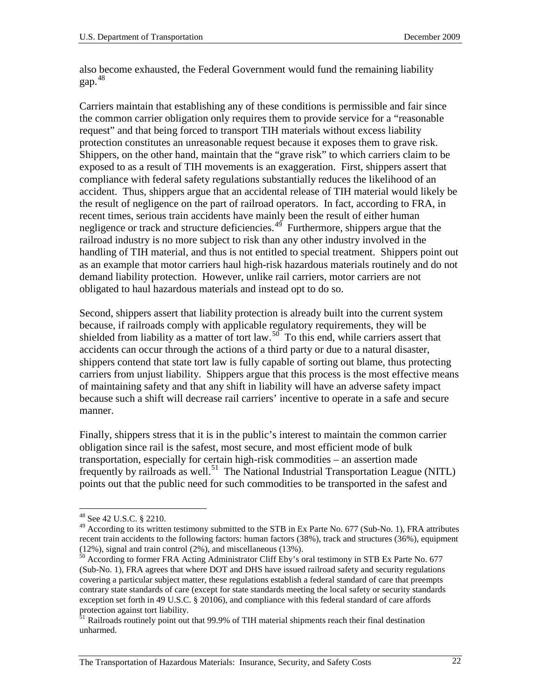also become exhausted, the Federal Government would fund the remaining liability gap. [48](#page-23-0)

Carriers maintain that establishing any of these conditions is permissible and fair since the common carrier obligation only requires them to provide service for a "reasonable request" and that being forced to transport TIH materials without excess liability protection constitutes an unreasonable request because it exposes them to grave risk. Shippers, on the other hand, maintain that the "grave risk" to which carriers claim to be exposed to as a result of TIH movements is an exaggeration. First, shippers assert that compliance with federal safety regulations substantially reduces the likelihood of an accident. Thus, shippers argue that an accidental release of TIH material would likely be the result of negligence on the part of railroad operators. In fact, according to FRA, in recent times, serious train accidents have mainly been the result of either human negligence or track and structure deficiencies. $4<sup>9</sup>$  Furthermore, shippers argue that the railroad industry is no more subject to risk than any other industry involved in the handling of TIH material, and thus is not entitled to special treatment. Shippers point out as an example that motor carriers haul high-risk hazardous materials routinely and do not demand liability protection. However, unlike rail carriers, motor carriers are not obligated to haul hazardous materials and instead opt to do so.

Second, shippers assert that liability protection is already built into the current system because, if railroads comply with applicable regulatory requirements, they will be shielded from liability as a matter of tort law.<sup>[50](#page-23-2)</sup> To this end, while carriers assert that accidents can occur through the actions of a third party or due to a natural disaster, shippers contend that state tort law is fully capable of sorting out blame, thus protecting carriers from unjust liability. Shippers argue that this process is the most effective means of maintaining safety and that any shift in liability will have an adverse safety impact because such a shift will decrease rail carriers' incentive to operate in a safe and secure manner.

Finally, shippers stress that it is in the public's interest to maintain the common carrier obligation since rail is the safest, most secure, and most efficient mode of bulk transportation, especially for certain high-risk commodities – an assertion made frequently by railroads as well.<sup>51</sup> The National Industrial Transportation League (NITL) points out that the public need for such commodities to be transported in the safest and

<span id="page-23-0"></span> <sup>48</sup> See 42 U.S.C. § 2210.

<span id="page-23-1"></span> $49$  According to its written testimony submitted to the STB in Ex Parte No. 677 (Sub-No. 1), FRA attributes recent train accidents to the following factors: human factors (38%), track and structures (36%), equipment (12%), signal and train control (2%), and miscellaneous (13%).<br><sup>50</sup> According to former FRA Acting Administrator Cliff Eby's oral testimony in STB Ex Parte No. 677

<span id="page-23-2"></span><sup>(</sup>Sub-No. 1), FRA agrees that where DOT and DHS have issued railroad safety and security regulations covering a particular subject matter, these regulations establish a federal standard of care that preempts contrary state standards of care (except for state standards meeting the local safety or security standards exception set forth in 49 U.S.C. § 20106), and compliance with this federal standard of care affords protection against tort liability.

<span id="page-23-3"></span><sup>&</sup>lt;sup>51</sup> Railroads routinely point out that 99.9% of TIH material shipments reach their final destination unharmed.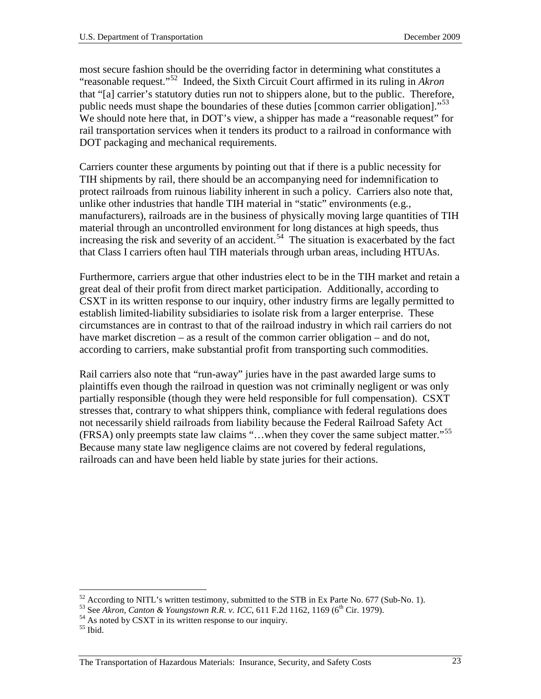most secure fashion should be the overriding factor in determining what constitutes a "reasonable request."[52](#page-24-0) Indeed, the Sixth Circuit Court affirmed in its ruling in *Akron* that "[a] carrier's statutory duties run not to shippers alone, but to the public. Therefore, public needs must shape the boundaries of these duties [common carrier obligation]."<sup>53</sup> We should note here that, in DOT's view, a shipper has made a "reasonable request" for rail transportation services when it tenders its product to a railroad in conformance with DOT packaging and mechanical requirements.

Carriers counter these arguments by pointing out that if there is a public necessity for TIH shipments by rail, there should be an accompanying need for indemnification to protect railroads from ruinous liability inherent in such a policy. Carriers also note that, unlike other industries that handle TIH material in "static" environments (e.g., manufacturers), railroads are in the business of physically moving large quantities of TIH material through an uncontrolled environment for long distances at high speeds, thus increasing the risk and severity of an accident.<sup>[54](#page-24-2)</sup> The situation is exacerbated by the fact that Class I carriers often haul TIH materials through urban areas, including HTUAs.

Furthermore, carriers argue that other industries elect to be in the TIH market and retain a great deal of their profit from direct market participation. Additionally, according to CSXT in its written response to our inquiry, other industry firms are legally permitted to establish limited-liability subsidiaries to isolate risk from a larger enterprise. These circumstances are in contrast to that of the railroad industry in which rail carriers do not have market discretion – as a result of the common carrier obligation – and do not, according to carriers, make substantial profit from transporting such commodities.

Rail carriers also note that "run-away" juries have in the past awarded large sums to plaintiffs even though the railroad in question was not criminally negligent or was only partially responsible (though they were held responsible for full compensation). CSXT stresses that, contrary to what shippers think, compliance with federal regulations does not necessarily shield railroads from liability because the Federal Railroad Safety Act (FRSA) only preempts state law claims "…when they cover the same subject matter."[55](#page-24-3)  Because many state law negligence claims are not covered by federal regulations, railroads can and have been held liable by state juries for their actions.

<span id="page-24-1"></span><span id="page-24-0"></span><sup>&</sup>lt;sup>52</sup> According to NITL's written testimony, submitted to the STB in Ex Parte No. 677 (Sub-No. 1).<br><sup>53</sup> See Akron, Canton & Youngstown R.R. v. ICC, 611 F.2d 1162, 1169 (6<sup>th</sup> Cir. 1979).<br><sup>54</sup> As noted by CSXT in its writte

<span id="page-24-2"></span>

<span id="page-24-3"></span>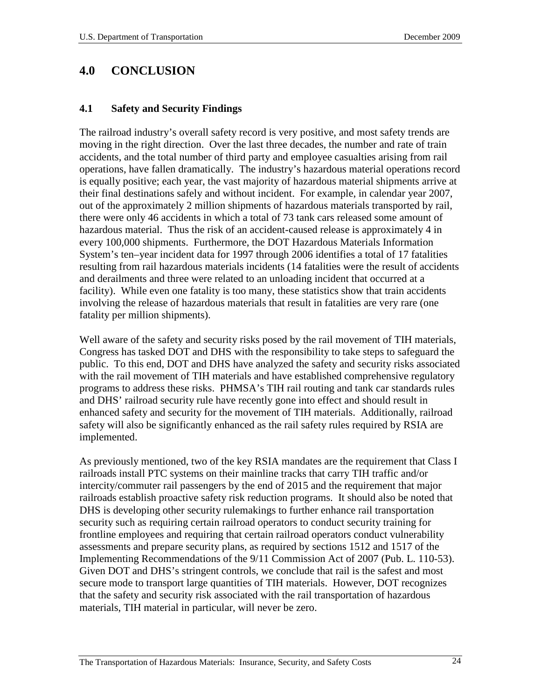# <span id="page-25-0"></span>**4.0 CONCLUSION**

#### <span id="page-25-1"></span>**4.1 Safety and Security Findings**

The railroad industry's overall safety record is very positive, and most safety trends are moving in the right direction. Over the last three decades, the number and rate of train accidents, and the total number of third party and employee casualties arising from rail operations, have fallen dramatically. The industry's hazardous material operations record is equally positive; each year, the vast majority of hazardous material shipments arrive at their final destinations safely and without incident. For example, in calendar year 2007, out of the approximately 2 million shipments of hazardous materials transported by rail, there were only 46 accidents in which a total of 73 tank cars released some amount of hazardous material. Thus the risk of an accident-caused release is approximately 4 in every 100,000 shipments. Furthermore, the DOT Hazardous Materials Information System's ten–year incident data for 1997 through 2006 identifies a total of 17 fatalities resulting from rail hazardous materials incidents (14 fatalities were the result of accidents and derailments and three were related to an unloading incident that occurred at a facility). While even one fatality is too many, these statistics show that train accidents involving the release of hazardous materials that result in fatalities are very rare (one fatality per million shipments).

Well aware of the safety and security risks posed by the rail movement of TIH materials, Congress has tasked DOT and DHS with the responsibility to take steps to safeguard the public. To this end, DOT and DHS have analyzed the safety and security risks associated with the rail movement of TIH materials and have established comprehensive regulatory programs to address these risks. PHMSA's TIH rail routing and tank car standards rules and DHS' railroad security rule have recently gone into effect and should result in enhanced safety and security for the movement of TIH materials. Additionally, railroad safety will also be significantly enhanced as the rail safety rules required by RSIA are implemented.

As previously mentioned, two of the key RSIA mandates are the requirement that Class I railroads install PTC systems on their mainline tracks that carry TIH traffic and/or intercity/commuter rail passengers by the end of 2015 and the requirement that major railroads establish proactive safety risk reduction programs. It should also be noted that DHS is developing other security rulemakings to further enhance rail transportation security such as requiring certain railroad operators to conduct security training for frontline employees and requiring that certain railroad operators conduct vulnerability assessments and prepare security plans, as required by sections 1512 and 1517 of the Implementing Recommendations of the 9/11 Commission Act of 2007 (Pub. L. 110-53). Given DOT and DHS's stringent controls, we conclude that rail is the safest and most secure mode to transport large quantities of TIH materials. However, DOT recognizes that the safety and security risk associated with the rail transportation of hazardous materials, TIH material in particular, will never be zero.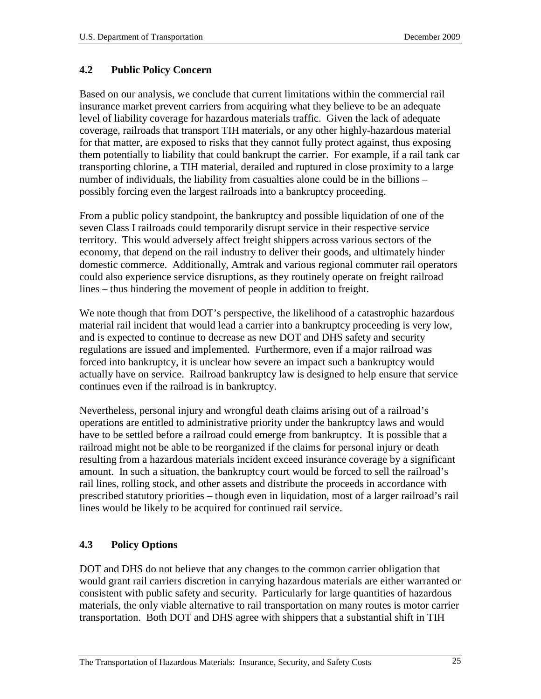### <span id="page-26-0"></span>**4.2 Public Policy Concern**

Based on our analysis, we conclude that current limitations within the commercial rail insurance market prevent carriers from acquiring what they believe to be an adequate level of liability coverage for hazardous materials traffic. Given the lack of adequate coverage, railroads that transport TIH materials, or any other highly-hazardous material for that matter, are exposed to risks that they cannot fully protect against, thus exposing them potentially to liability that could bankrupt the carrier. For example, if a rail tank car transporting chlorine, a TIH material, derailed and ruptured in close proximity to a large number of individuals, the liability from casualties alone could be in the billions – possibly forcing even the largest railroads into a bankruptcy proceeding.

From a public policy standpoint, the bankruptcy and possible liquidation of one of the seven Class I railroads could temporarily disrupt service in their respective service territory. This would adversely affect freight shippers across various sectors of the economy, that depend on the rail industry to deliver their goods, and ultimately hinder domestic commerce. Additionally, Amtrak and various regional commuter rail operators could also experience service disruptions, as they routinely operate on freight railroad lines – thus hindering the movement of people in addition to freight.

We note though that from DOT's perspective, the likelihood of a catastrophic hazardous material rail incident that would lead a carrier into a bankruptcy proceeding is very low, and is expected to continue to decrease as new DOT and DHS safety and security regulations are issued and implemented. Furthermore, even if a major railroad was forced into bankruptcy, it is unclear how severe an impact such a bankruptcy would actually have on service. Railroad bankruptcy law is designed to help ensure that service continues even if the railroad is in bankruptcy.

Nevertheless, personal injury and wrongful death claims arising out of a railroad's operations are entitled to administrative priority under the bankruptcy laws and would have to be settled before a railroad could emerge from bankruptcy. It is possible that a railroad might not be able to be reorganized if the claims for personal injury or death resulting from a hazardous materials incident exceed insurance coverage by a significant amount. In such a situation, the bankruptcy court would be forced to sell the railroad's rail lines, rolling stock, and other assets and distribute the proceeds in accordance with prescribed statutory priorities – though even in liquidation, most of a larger railroad's rail lines would be likely to be acquired for continued rail service.

## <span id="page-26-1"></span>**4.3 Policy Options**

DOT and DHS do not believe that any changes to the common carrier obligation that would grant rail carriers discretion in carrying hazardous materials are either warranted or consistent with public safety and security. Particularly for large quantities of hazardous materials, the only viable alternative to rail transportation on many routes is motor carrier transportation. Both DOT and DHS agree with shippers that a substantial shift in TIH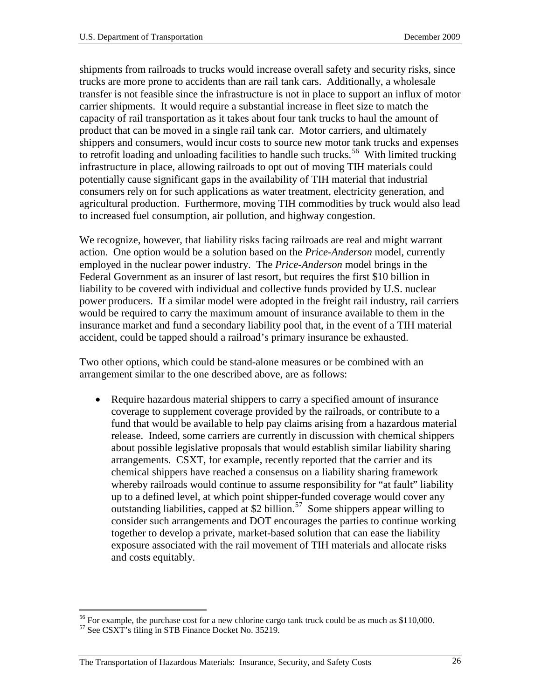shipments from railroads to trucks would increase overall safety and security risks, since trucks are more prone to accidents than are rail tank cars. Additionally, a wholesale transfer is not feasible since the infrastructure is not in place to support an influx of motor carrier shipments. It would require a substantial increase in fleet size to match the capacity of rail transportation as it takes about four tank trucks to haul the amount of product that can be moved in a single rail tank car. Motor carriers, and ultimately shippers and consumers, would incur costs to source new motor tank trucks and expenses to retrofit loading and unloading facilities to handle such trucks.<sup>56</sup> With limited trucking infrastructure in place, allowing railroads to opt out of moving TIH materials could potentially cause significant gaps in the availability of TIH material that industrial consumers rely on for such applications as water treatment, electricity generation, and agricultural production. Furthermore, moving TIH commodities by truck would also lead to increased fuel consumption, air pollution, and highway congestion.

We recognize, however, that liability risks facing railroads are real and might warrant action. One option would be a solution based on the *Price-Anderson* model, currently employed in the nuclear power industry. The *Price-Anderson* model brings in the Federal Government as an insurer of last resort, but requires the first \$10 billion in liability to be covered with individual and collective funds provided by U.S. nuclear power producers. If a similar model were adopted in the freight rail industry, rail carriers would be required to carry the maximum amount of insurance available to them in the insurance market and fund a secondary liability pool that, in the event of a TIH material accident, could be tapped should a railroad's primary insurance be exhausted.

Two other options, which could be stand-alone measures or be combined with an arrangement similar to the one described above, are as follows:

• Require hazardous material shippers to carry a specified amount of insurance coverage to supplement coverage provided by the railroads, or contribute to a fund that would be available to help pay claims arising from a hazardous material release. Indeed, some carriers are currently in discussion with chemical shippers about possible legislative proposals that would establish similar liability sharing arrangements. CSXT, for example, recently reported that the carrier and its chemical shippers have reached a consensus on a liability sharing framework whereby railroads would continue to assume responsibility for "at fault" liability up to a defined level, at which point shipper-funded coverage would cover any outstanding liabilities, capped at \$2 billion.<sup>[57](#page-27-1)</sup> Some shippers appear willing to consider such arrangements and DOT encourages the parties to continue working together to develop a private, market-based solution that can ease the liability exposure associated with the rail movement of TIH materials and allocate risks and costs equitably.

<span id="page-27-0"></span><sup>&</sup>lt;sup>56</sup> For example, the purchase cost for a new chlorine cargo tank truck could be as much as \$110,000. <sup>57</sup> See CSXT's filing in STB Finance Docket No. 35219.

<span id="page-27-1"></span>